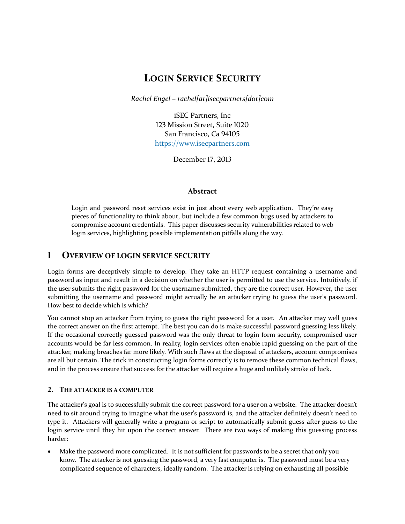# **LOGIN SERVICE SECURITY**

*Rachel Engel – rachel[at]isecpartners[dot]com*

iSEC Partners, Inc 123 Mission Street, Suite 1020 San Francisco, Ca 94105 [https://www.isecpartners.com](https://www.isecpartners.com/)

December 17, 2013

#### **Abstract**

Login and password reset services exist in just about every web application. They're easy pieces of functionality to think about, but include a few common bugs used by attackers to compromise account credentials. This paper discusses security vulnerabilities related to web login services, highlighting possible implementation pitfalls along the way.

# **1 OVERVIEW OF LOGIN SERVICE SECURITY**

Login forms are deceptively simple to develop. They take an HTTP request containing a username and password as input and result in a decision on whether the user is permitted to use the service. Intuitively, if the user submits the right password for the username submitted, they are the correct user. However, the user submitting the username and password might actually be an attacker trying to guess the user's password. How best to decide which is which?

You cannot stop an attacker from trying to guess the right password for a user. An attacker may well guess the correct answer on the first attempt. The best you can do is make successful password guessing less likely. If the occasional correctly guessed password was the only threat to login form security, compromised user accounts would be far less common. In reality, login services often enable rapid guessing on the part of the attacker, making breaches far more likely. With such flaws at the disposal of attackers, account compromises are all but certain. The trick in constructing login forms correctly is to remove these common technical flaws, and in the process ensure that success for the attacker will require a huge and unlikely stroke of luck.

## **2. THE ATTACKER IS A COMPUTER**

The attacker's goal is to successfully submit the correct password for a user on a website. The attacker doesn't need to sit around trying to imagine what the user's password is, and the attacker definitely doesn't need to type it. Attackers will generally write a program or script to automatically submit guess after guess to the login service until they hit upon the correct answer. There are two ways of making this guessing process harder:

 Make the password more complicated. It is not sufficient for passwords to be a secret that only you know. The attacker is not guessing the password, a very fast computer is. The password must be a very complicated sequence of characters, ideally random. The attacker is relying on exhausting all possible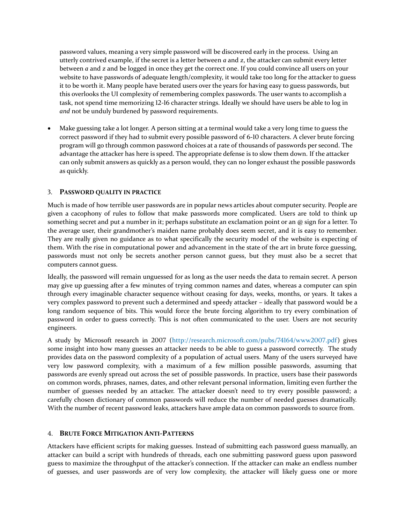password values, meaning a very simple password will be discovered early in the process. Using an utterly contrived example, if the secret is a letter between *a* and *z*, the attacker can submit every letter between *a* and *z* and be logged in once they get the correct one. If you could convince all users on your website to have passwords of adequate length/complexity, it would take too long for the attacker to guess it to be worth it. Many people have berated users over the years for having easy to guess passwords, but this overlooks the UI complexity of remembering complex passwords. The user wants to accomplish a task, not spend time memorizing 12-16 character strings. Ideally we should have users be able to log in *and* not be unduly burdened by password requirements.

 Make guessing take a lot longer. A person sitting at a terminal would take a very long time to guess the correct password if they had to submit every possible password of 6-10 characters. A clever brute forcing program will go through common password choices at a rate of thousands of passwords per second. The advantage the attacker has here is speed. The appropriate defense is to slow them down. If the attacker can only submit answers as quickly as a person would, they can no longer exhaust the possible passwords as quickly.

## 3. **PASSWORD QUALITY IN PRACTICE**

Much is made of how terrible user passwords are in popular news articles about computer security. People are given a cacophony of rules to follow that make passwords more complicated. Users are told to think up something secret and put a number in it; perhaps substitute an exclamation point or an @ sign for a letter. To the average user, their grandmother's maiden name probably does seem secret, and it is easy to remember. They are really given no guidance as to what specifically the security model of the website is expecting of them. With the rise in computational power and advancement in the state of the art in brute force guessing, passwords must not only be secrets another person cannot guess, but they must also be a secret that computers cannot guess.

Ideally, the password will remain unguessed for as long as the user needs the data to remain secret. A person may give up guessing after a few minutes of trying common names and dates, whereas a computer can spin through every imaginable character sequence without ceasing for days, weeks, months, or years. It takes a very complex password to prevent such a determined and speedy attacker – ideally that password would be a long random sequence of bits. This would force the brute forcing algorithm to try every combination of password in order to guess correctly. This is not often communicated to the user. Users are not security engineers.

A study by Microsoft research in 2007 [\(http://research.microsoft.com/pubs/74164/www2007.pdf\)](http://research.microsoft.com/pubs/74164/www2007.pdf) gives some insight into how many guesses an attacker needs to be able to guess a password correctly. The study provides data on the password complexity of a population of actual users. Many of the users surveyed have very low password complexity, with a maximum of a few million possible passwords, assuming that passwords are evenly spread out across the set of possible passwords. In practice, users base their passwords on common words, phrases, names, dates, and other relevant personal information, limiting even further the number of guesses needed by an attacker. The attacker doesn't need to try every possible password; a carefully chosen dictionary of common passwords will reduce the number of needed guesses dramatically. With the number of recent password leaks, attackers have ample data on common passwords to source from.

## 4. **BRUTE FORCE MITIGATION ANTI-PATTERNS**

Attackers have efficient scripts for making guesses. Instead of submitting each password guess manually, an attacker can build a script with hundreds of threads, each one submitting password guess upon password guess to maximize the throughput of the attacker's connection. If the attacker can make an endless number of guesses, and user passwords are of very low complexity, the attacker will likely guess one or more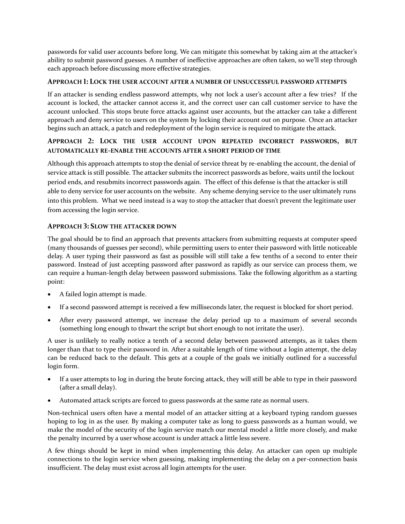passwords for valid user accounts before long. We can mitigate this somewhat by taking aim at the attacker's ability to submit password guesses. A number of ineffective approaches are often taken, so we'll step through each approach before discussing more effective strategies.

## **APPROACH 1: LOCK THE USER ACCOUNT AFTER A NUMBER OF UNSUCCESSFUL PASSWORD ATTEMPTS**

If an attacker is sending endless password attempts, why not lock a user's account after a few tries? If the account is locked, the attacker cannot access it, and the correct user can call customer service to have the account unlocked. This stops brute force attacks against user accounts, but the attacker can take a different approach and deny service to users on the system by locking their account out on purpose. Once an attacker begins such an attack, a patch and redeployment of the login service is required to mitigate the attack.

## **APPROACH 2: LOCK THE USER ACCOUNT UPON REPEATED INCORRECT PASSWORDS, BUT AUTOMATICALLY RE-ENABLE THE ACCOUNTS AFTER A SHORT PERIOD OF TIME**

Although this approach attempts to stop the denial of service threat by re-enabling the account, the denial of service attack is still possible. The attacker submits the incorrect passwords as before, waits until the lockout period ends, and resubmits incorrect passwords again. The effect of this defense is that the attacker is still able to deny service for user accounts on the website. Any scheme denying service to the user ultimately runs into this problem. What we need instead is a way to stop the attacker that doesn't prevent the legitimate user from accessing the login service.

# **APPROACH 3: SLOW THE ATTACKER DOWN**

The goal should be to find an approach that prevents attackers from submitting requests at computer speed (many thousands of guesses per second), while permitting users to enter their password with little noticeable delay. A user typing their password as fast as possible will still take a few tenths of a second to enter their password. Instead of just accepting password after password as rapidly as our service can process them, we can require a human-length delay between password submissions. Take the following algorithm as a starting point:

- A failed login attempt is made.
- If a second password attempt is received a few milliseconds later, the request is blocked for short period.
- After every password attempt, we increase the delay period up to a maximum of several seconds (something long enough to thwart the script but short enough to not irritate the user).

A user is unlikely to really notice a tenth of a second delay between password attempts, as it takes them longer than that to type their password in. After a suitable length of time without a login attempt, the delay can be reduced back to the default. This gets at a couple of the goals we initially outlined for a successful login form.

- If a user attempts to log in during the brute forcing attack, they will still be able to type in their password (after a small delay).
- Automated attack scripts are forced to guess passwords at the same rate as normal users.

Non-technical users often have a mental model of an attacker sitting at a keyboard typing random guesses hoping to log in as the user. By making a computer take as long to guess passwords as a human would, we make the model of the security of the login service match our mental model a little more closely, and make the penalty incurred by a user whose account is under attack a little less severe.

A few things should be kept in mind when implementing this delay. An attacker can open up multiple connections to the login service when guessing, making implementing the delay on a per-connection basis insufficient. The delay must exist across all login attempts for the user.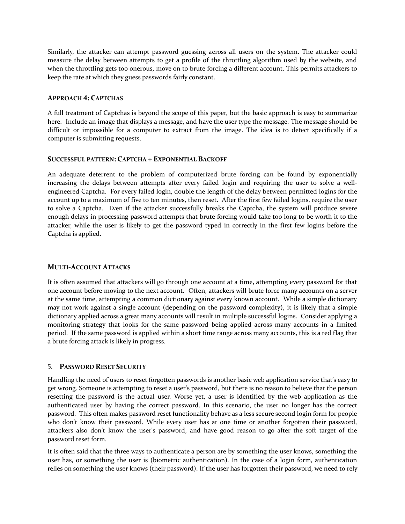Similarly, the attacker can attempt password guessing across all users on the system. The attacker could measure the delay between attempts to get a profile of the throttling algorithm used by the website, and when the throttling gets too onerous, move on to brute forcing a different account. This permits attackers to keep the rate at which they guess passwords fairly constant.

#### **APPROACH 4: CAPTCHAS**

A full treatment of Captchas is beyond the scope of this paper, but the basic approach is easy to summarize here. Include an image that displays a message, and have the user type the message. The message should be difficult or impossible for a computer to extract from the image. The idea is to detect specifically if a computer is submitting requests.

#### **SUCCESSFUL PATTERN: CAPTCHA + EXPONENTIAL BACKOFF**

An adequate deterrent to the problem of computerized brute forcing can be found by exponentially increasing the delays between attempts after every failed login and requiring the user to solve a wellengineered Captcha. For every failed login, double the length of the delay between permitted logins for the account up to a maximum of five to ten minutes, then reset. After the first few failed logins, require the user to solve a Captcha. Even if the attacker successfully breaks the Captcha, the system will produce severe enough delays in processing password attempts that brute forcing would take too long to be worth it to the attacker, while the user is likely to get the password typed in correctly in the first few logins before the Captcha is applied.

## **MULTI-ACCOUNT ATTACKS**

It is often assumed that attackers will go through one account at a time, attempting every password for that one account before moving to the next account. Often, attackers will brute force many accounts on a server at the same time, attempting a common dictionary against every known account. While a simple dictionary may not work against a single account (depending on the password complexity), it is likely that a simple dictionary applied across a great many accounts will result in multiple successful logins. Consider applying a monitoring strategy that looks for the same password being applied across many accounts in a limited period. If the same password is applied within a short time range across many accounts, this is a red flag that a brute forcing attack is likely in progress.

## 5. **PASSWORD RESET SECURITY**

Handling the need of users to reset forgotten passwords is another basic web application service that's easy to get wrong. Someone is attempting to reset a user's password, but there is no reason to believe that the person resetting the password is the actual user. Worse yet, a user is identified by the web application as the authenticated user by having the correct password. In this scenario, the user no longer has the correct password. This often makes password reset functionality behave as a less secure second login form for people who don't know their password. While every user has at one time or another forgotten their password, attackers also don't know the user's password, and have good reason to go after the soft target of the password reset form.

It is often said that the three ways to authenticate a person are by something the user knows, something the user has, or something the user is (biometric authentication). In the case of a login form, authentication relies on something the user knows (their password). If the user has forgotten their password, we need to rely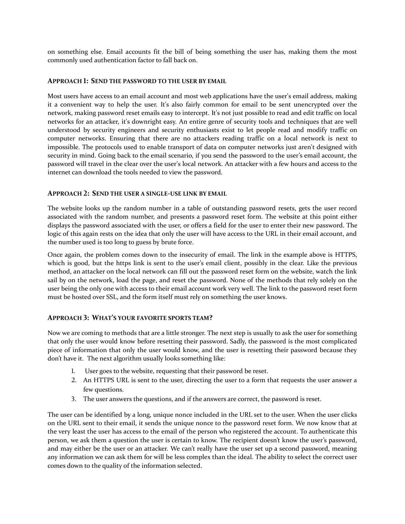on something else. Email accounts fit the bill of being something the user has, making them the most commonly used authentication factor to fall back on.

#### **APPROACH 1: SEND THE PASSWORD TO THE USER BY EMAIL**

Most users have access to an email account and most web applications have the user's email address, making it a convenient way to help the user. It's also fairly common for email to be sent unencrypted over the network, making password reset emails easy to intercept. It's not just possible to read and edit traffic on local networks for an attacker, it's downright easy. An entire genre of security tools and techniques that are well understood by security engineers and security enthusiasts exist to let people read and modify traffic on computer networks. Ensuring that there are no attackers reading traffic on a local network is next to impossible. The protocols used to enable transport of data on computer networks just aren't designed with security in mind. Going back to the email scenario, if you send the password to the user's email account, the password will travel in the clear over the user's local network. An attacker with a few hours and access to the internet can download the tools needed to view the password.

#### **APPROACH 2: SEND THE USER A SINGLE-USE LINK BY EMAIL**

The website looks up the random number in a table of outstanding password resets, gets the user record associated with the random number, and presents a password reset form. The website at this point either displays the password associated with the user, or offers a field for the user to enter their new password. The logic of this again rests on the idea that only the user will have access to the URL in their email account, and the number used is too long to guess by brute force.

Once again, the problem comes down to the insecurity of email. The link in the example above is HTTPS, which is good, but the https link is sent to the user's email client, possibly in the clear. Like the previous method, an attacker on the local network can fill out the password reset form on the website, watch the link sail by on the network, load the page, and reset the password. None of the methods that rely solely on the user being the only one with access to their email account work very well. The link to the password reset form must be hosted over SSL, and the form itself must rely on something the user knows.

## **APPROACH 3: WHAT'S YOUR FAVORITE SPORTS TEAM?**

Now we are coming to methods that are a little stronger. The next step is usually to ask the user for something that only the user would know before resetting their password. Sadly, the password is the most complicated piece of information that only the user would know, and the user is resetting their password because they don't have it. The next algorithm usually looks something like:

- 1. User goes to the website, requesting that their password be reset.
- 2. An HTTPS URL is sent to the user, directing the user to a form that requests the user answer a few questions.
- 3. The user answers the questions, and if the answers are correct, the password is reset.

The user can be identified by a long, unique nonce included in the URL set to the user. When the user clicks on the URL sent to their email, it sends the unique nonce to the password reset form. We now know that at the very least the user has access to the email of the person who registered the account. To authenticate this person, we ask them a question the user is certain to know. The recipient doesn't know the user's password, and may either be the user or an attacker. We can't really have the user set up a second password, meaning any information we can ask them for will be less complex than the ideal. The ability to select the correct user comes down to the quality of the information selected.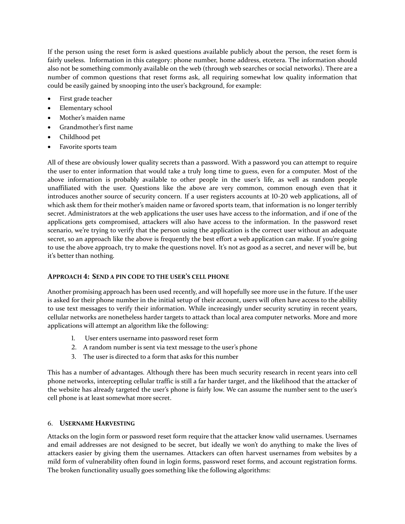If the person using the reset form is asked questions available publicly about the person, the reset form is fairly useless. Information in this category: phone number, home address, etcetera. The information should also not be something commonly available on the web (through web searches or social networks). There are a number of common questions that reset forms ask, all requiring somewhat low quality information that could be easily gained by snooping into the user's background, for example:

- First grade teacher
- Elementary school
- Mother's maiden name
- Grandmother's first name
- Childhood pet
- Favorite sports team

All of these are obviously lower quality secrets than a password. With a password you can attempt to require the user to enter information that would take a truly long time to guess, even for a computer. Most of the above information is probably available to other people in the user's life, as well as random people unaffiliated with the user. Questions like the above are very common, common enough even that it introduces another source of security concern. If a user registers accounts at 10-20 web applications, all of which ask them for their mother's maiden name or favored sports team, that information is no longer terribly secret. Administrators at the web applications the user uses have access to the information, and if one of the applications gets compromised, attackers will also have access to the information. In the password reset scenario, we're trying to verify that the person using the application is the correct user without an adequate secret, so an approach like the above is frequently the best effort a web application can make. If you're going to use the above approach, try to make the questions novel. It's not as good as a secret, and never will be, but it's better than nothing.

## **APPROACH 4: SEND A PIN CODE TO THE USER'S CELL PHONE**

Another promising approach has been used recently, and will hopefully see more use in the future. If the user is asked for their phone number in the initial setup of their account, users will often have access to the ability to use text messages to verify their information. While increasingly under security scrutiny in recent years, cellular networks are nonetheless harder targets to attack than local area computer networks. More and more applications will attempt an algorithm like the following:

- 1. User enters username into password reset form
- 2. A random number is sent via text message to the user's phone
- 3. The user is directed to a form that asks for this number

This has a number of advantages. Although there has been much security research in recent years into cell phone networks, intercepting cellular traffic is still a far harder target, and the likelihood that the attacker of the website has already targeted the user's phone is fairly low. We can assume the number sent to the user's cell phone is at least somewhat more secret.

## 6. **USERNAME HARVESTING**

Attacks on the login form or password reset form require that the attacker know valid usernames. Usernames and email addresses are not designed to be secret, but ideally we won't do anything to make the lives of attackers easier by giving them the usernames. Attackers can often harvest usernames from websites by a mild form of vulnerability often found in login forms, password reset forms, and account registration forms. The broken functionality usually goes something like the following algorithms: